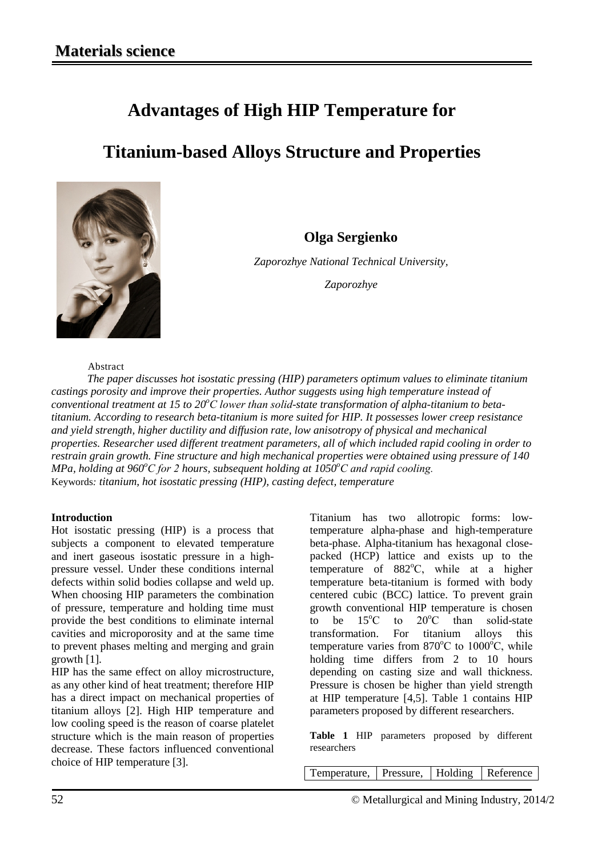## **Advantages of High HIP Temperature for**

# **Titanium-based Alloys Structure and Properties**



**Olga Sergienko**

*Zaporozhye National Technical University,*

*Zaporozhye*

#### Abstract

*The paper discusses hot isostatic pressing (HIP) parameters optimum values to eliminate titanium castings porosity and improve their properties. Author suggests using high temperature instead of conventional treatment at 15 to 20<sup>°</sup>C lower than solid-state transformation of alpha-titanium to betatitanium. According to research beta-titanium is more suited for HIP. It possesses lower creep resistance and yield strength, higher ductility and diffusion rate, low anisotropy of physical and mechanical properties. Researcher used different treatment parameters, all of which included rapid cooling in order to restrain grain growth. Fine structure and high mechanical properties were obtained using pressure of 140 MPa, holding at 960°С for 2 hours, subsequent holding at 1050°С and rapid cooling.* Keywords*: titanium, hot isostatic pressing (HIP), casting defect, temperature*

### **Introduction**

Hot isostatic pressing (HIP) is a process that subjects a component to elevated temperature and inert gaseous isostatic pressure in a highpressure vessel. Under these conditions internal defects within solid bodies collapse and weld up. When choosing HIP parameters the combination of pressure, temperature and holding time must provide the best conditions to eliminate internal cavities and microporosity and at the same time to prevent phases melting and merging and grain growth [1].

HIP has the same effect on alloy microstructure, as any other kind of heat treatment; therefore HIP has a direct impact on mechanical properties of titanium alloys [2]. High HIP temperature and low cooling speed is the reason of coarse platelet structure which is the main reason of properties decrease. These factors influenced conventional choice of HIP temperature [3].

Titanium has two allotropic forms: lowtemperature alpha-phase and high-temperature beta-phase. Alpha-titanium has hexagonal closepacked (HCP) lattice and exists up to the temperature of 882°C, while at a higher temperature beta-titanium is formed with body centered cubic (BCC) lattice. To prevent grain growth conventional HIP temperature is chosen to be  $15^{\circ}$ C to  $20^{\circ}$ C than solid-state transformation. For titanium alloys this temperature varies from  $870^{\circ}$ C to  $1000^{\circ}$ C, while holding time differs from 2 to 10 hours depending on casting size and wall thickness. Pressure is chosen be higher than yield strength at HIP temperature [4,5]. Table 1 contains HIP parameters proposed by different researchers.

**Table 1** HIP parameters proposed by different researchers

Temperature, Pressure, Holding Reference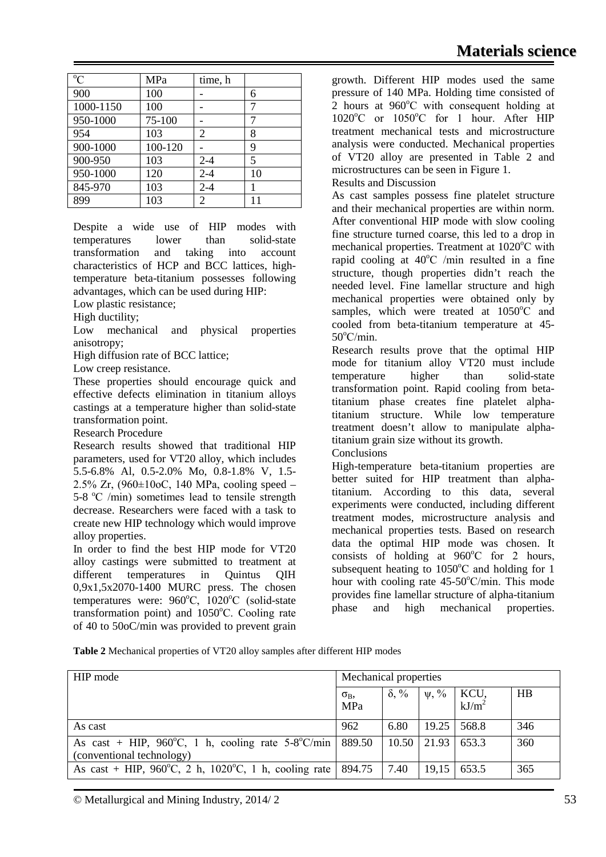| $\rm ^{o}C$ | MPa     | time, h |    |
|-------------|---------|---------|----|
| 900         | 100     |         | 6  |
| 1000-1150   | 100     |         | 7  |
| 950-1000    | 75-100  |         | 7  |
| 954         | 103     | 2       | 8  |
| 900-1000    | 100-120 |         | 9  |
| 900-950     | 103     | $2 - 4$ | 5  |
| 950-1000    | 120     | $2 - 4$ | 10 |
| 845-970     | 103     | $2 - 4$ |    |
| 899         | 103     | 2       | 11 |

Despite a wide use of HIP modes with temperatures lower than solid-state transformation and taking into account characteristics of HCP and BCC lattices, hightemperature beta-titanium possesses following advantages, which can be used during HIP: Low plastic resistance;

High ductility;

Low mechanical and physical properties anisotropy;

High diffusion rate of BCC lattice;

Low creep resistance.

These properties should encourage quick and effective defects elimination in titanium alloys castings at a temperature higher than solid-state transformation point.

Research Procedure

Research results showed that traditional HIP parameters, used for VT20 alloy, which includes 5.5-6.8% Al, 0.5-2.0% Mo, 0.8-1.8% V, 1.5- 2.5% Zr,  $(960 \pm 10$  oC, 140 MPa, cooling speed – 5-8 °C /min) sometimes lead to tensile strength decrease. Researchers were faced with a task to create new HIP technology which would improve alloy properties.

In order to find the best HIP mode for VT20 alloy castings were submitted to treatment at different temperatures in Quintus QIH 0,9x1,5x2070-1400 MURC press. The chosen temperatures were: 960°C, 1020°C (solid-state transformation point) and 1050°C. Cooling rate of 40 to 50oC/min was provided to prevent grain growth. Different HIP modes used the same pressure of 140 MPa. Holding time consisted of  $2$  hours at  $960^{\circ}$ C with consequent holding at 1020°C or 1050°C for 1 hour. After HIP treatment mechanical tests and microstructure analysis were conducted. Mechanical properties of VT20 alloy are presented in Table 2 and microstructures can be seen in Figure 1.

### Results and Discussion

As cast samples possess fine platelet structure and their mechanical properties are within norm. After conventional HIP mode with slow cooling fine structure turned coarse, this led to a drop in mechanical properties. Treatment at 1020°C with rapid cooling at  $40^{\circ}$ C /min resulted in a fine structure, though properties didn't reach the needed level. Fine lamellar structure and high mechanical properties were obtained only by samples, which were treated at 1050°C and cooled from beta-titanium temperature at 45-  $50^{\circ}$ C/min.

Research results prove that the optimal HIP mode for titanium alloy VT20 must include temperature higher than solid-state transformation point. Rapid cooling from betatitanium phase creates fine platelet alphatitanium structure. While low temperature treatment doesn't allow to manipulate alphatitanium grain size without its growth.

Conclusions

High-temperature beta-titanium properties are better suited for HIP treatment than alphatitanium. According to this data, several experiments were conducted, including different treatment modes, microstructure analysis and mechanical properties tests. Based on research data the optimal HIP mode was chosen. It consists of holding at  $960^{\circ}$ C for 2 hours, subsequent heating to  $1050^{\circ}$ C and holding for 1 hour with cooling rate 45-50°C/min. This mode provides fine lamellar structure of alpha-titanium phase and high mechanical properties.

**Table 2** Mechanical properties of VT20 alloy samples after different HIP modes

| HIP mode                                                                                   | Mechanical properties |              |                                                                                      |       |     |
|--------------------------------------------------------------------------------------------|-----------------------|--------------|--------------------------------------------------------------------------------------|-------|-----|
|                                                                                            | $\sigma_{B}$<br>MPa   | $\delta, \%$ | $\left  \begin{array}{c} \psi, \frac{\%}{6} \\ k \mathrm{J/m}^2 \end{array} \right $ |       | HB  |
| As cast                                                                                    | 962                   | 6.80         | 19.25                                                                                | 568.8 | 346 |
| As cast + HIP, 960°C, 1 h, cooling rate $5-8$ °C/min   889.50<br>(conventional technology) |                       |              | $10.50$   21.93   653.3                                                              |       | 360 |
| As cast + HIP, 960°C, 2 h, 1020°C, 1 h, cooling rate   894.75                              |                       | 7.40         | 19,15                                                                                | 653.5 | 365 |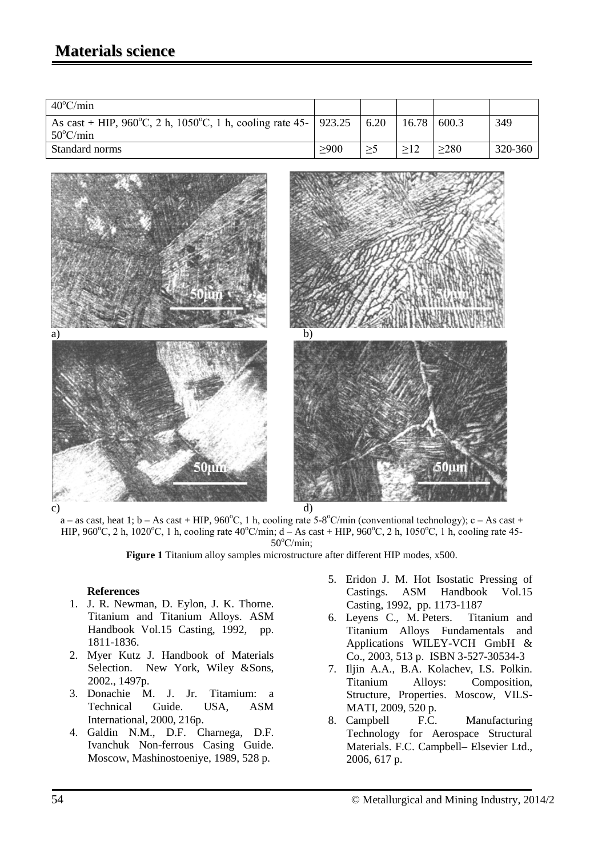| $40^{\circ}$ C/min                                                                             |       |       |       |         |
|------------------------------------------------------------------------------------------------|-------|-------|-------|---------|
| As cast + HIP, 960°C, 2 h, 1050°C, 1 h, cooling rate 45-   923.25   6.20<br>$50^{\circ}$ C/min |       | 16.78 | 600.3 | 349     |
|                                                                                                |       |       |       |         |
| Standard norms                                                                                 | > 900 |       | >280  | 320-360 |



 $a - as cast$ , heat 1;  $b - As cast + HIP$ ,  $960^{\circ}C$ , 1 h, cooling rate  $5-8^{\circ}C/min$  (conventional technology);  $c - As cast +$ HIP, 960°C, 2 h, 1020°C, 1 h, cooling rate 40°C/min; d – As cast + HIP, 960°C, 2 h, 1050°C, 1 h, cooling rate 45-50°C/min;

**Figure 1** Titanium alloy samples microstructure after different HIP modes, x500.

### **References**

- 1. J. R. Newman, D. Eylon, J. K. Thorne. Titanium and Titanium Alloys. ASM Handbook Vol.15 Casting, 1992, pp. 1811-1836.
- 2. Myer Kutz J. Handbook of Materials Selection. New York, Wiley &Sons, 2002., 1497p.
- 3. Donachie M. J. Jr. Titamium: a Technical Guide. USA, ASM International, 2000, 216p.
- 4. Galdin N.M., D.F. Charnega, D.F. Ivanchuk Non-ferrous Casing Guide. Moscow, Mashinostoeniye, 1989, 528 p.
- 5. Eridon J. M. Hot Isostatic Pressing of Castings. ASM Handbook Vol.15 Casting, 1992, pp. 1173-1187
- 6. Leyens C., M. Peters. Titanium and Titanium Alloys Fundamentals and Applications WILEY-VCH GmbH & Co., 2003, 513 p. ISBN 3-527-30534-3
- 7. Iljin A.A., B.A. Kolachev, I.S. Polkin. Titanium Alloys: Composition, Structure, Properties. Moscow, VILS-MATI, 2009, 520 p.
- 8. Campbell F.C. Manufacturing Technology for Aerospace Structural Materials. F.C. Campbell– Elsevier Ltd., 2006, 617 p.